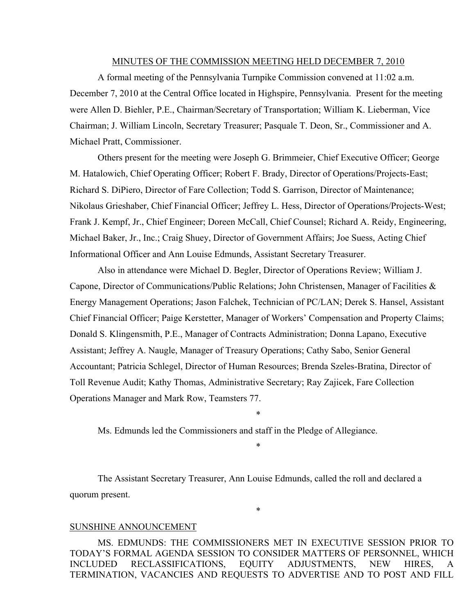#### MINUTES OF THE COMMISSION MEETING HELD DECEMBER 7, 2010

A formal meeting of the Pennsylvania Turnpike Commission convened at 11:02 a.m. December 7, 2010 at the Central Office located in Highspire, Pennsylvania. Present for the meeting were Allen D. Biehler, P.E., Chairman/Secretary of Transportation; William K. Lieberman, Vice Chairman; J. William Lincoln, Secretary Treasurer; Pasquale T. Deon, Sr., Commissioner and A. Michael Pratt, Commissioner.

Others present for the meeting were Joseph G. Brimmeier, Chief Executive Officer; George M. Hatalowich, Chief Operating Officer; Robert F. Brady, Director of Operations/Projects-East; Richard S. DiPiero, Director of Fare Collection; Todd S. Garrison, Director of Maintenance; Nikolaus Grieshaber, Chief Financial Officer; Jeffrey L. Hess, Director of Operations/Projects-West; Frank J. Kempf, Jr., Chief Engineer; Doreen McCall, Chief Counsel; Richard A. Reidy, Engineering, Michael Baker, Jr., Inc.; Craig Shuey, Director of Government Affairs; Joe Suess, Acting Chief Informational Officer and Ann Louise Edmunds, Assistant Secretary Treasurer.

Also in attendance were Michael D. Begler, Director of Operations Review; William J. Capone, Director of Communications/Public Relations; John Christensen, Manager of Facilities  $\&$ Energy Management Operations; Jason Falchek, Technician of PC/LAN; Derek S. Hansel, Assistant Chief Financial Officer; Paige Kerstetter, Manager of Workers' Compensation and Property Claims; Donald S. Klingensmith, P.E., Manager of Contracts Administration; Donna Lapano, Executive Assistant; Jeffrey A. Naugle, Manager of Treasury Operations; Cathy Sabo, Senior General Accountant; Patricia Schlegel, Director of Human Resources; Brenda Szeles-Bratina, Director of Toll Revenue Audit; Kathy Thomas, Administrative Secretary; Ray Zajicek, Fare Collection Operations Manager and Mark Row, Teamsters 77.

Ms. Edmunds led the Commissioners and staff in the Pledge of Allegiance.

\*

\*

The Assistant Secretary Treasurer, Ann Louise Edmunds, called the roll and declared a quorum present.

#### SUNSHINE ANNOUNCEMENT

MS. EDMUNDS: THE COMMISSIONERS MET IN EXECUTIVE SESSION PRIOR TO TODAY'S FORMAL AGENDA SESSION TO CONSIDER MATTERS OF PERSONNEL, WHICH INCLUDED RECLASSIFICATIONS, EQUITY ADJUSTMENTS, NEW HIRES, A TERMINATION, VACANCIES AND REQUESTS TO ADVERTISE AND TO POST AND FILL

\*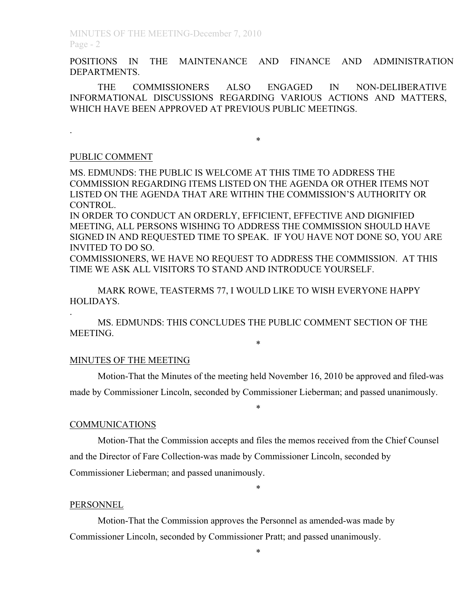POSITIONS IN THE MAINTENANCE AND FINANCE AND ADMINISTRATION DEPARTMENTS.

THE COMMISSIONERS ALSO ENGAGED IN NON-DELIBERATIVE INFORMATIONAL DISCUSSIONS REGARDING VARIOUS ACTIONS AND MATTERS, WHICH HAVE BEEN APPROVED AT PREVIOUS PUBLIC MEETINGS.

\*

# PUBLIC COMMENT

.

.

MS. EDMUNDS: THE PUBLIC IS WELCOME AT THIS TIME TO ADDRESS THE COMMISSION REGARDING ITEMS LISTED ON THE AGENDA OR OTHER ITEMS NOT LISTED ON THE AGENDA THAT ARE WITHIN THE COMMISSION'S AUTHORITY OR CONTROL.

IN ORDER TO CONDUCT AN ORDERLY, EFFICIENT, EFFECTIVE AND DIGNIFIED MEETING, ALL PERSONS WISHING TO ADDRESS THE COMMISSION SHOULD HAVE SIGNED IN AND REQUESTED TIME TO SPEAK. IF YOU HAVE NOT DONE SO, YOU ARE INVITED TO DO SO.

COMMISSIONERS, WE HAVE NO REQUEST TO ADDRESS THE COMMISSION. AT THIS TIME WE ASK ALL VISITORS TO STAND AND INTRODUCE YOURSELF.

MARK ROWE, TEASTERMS 77, I WOULD LIKE TO WISH EVERYONE HAPPY HOLIDAYS.

MS. EDMUNDS: THIS CONCLUDES THE PUBLIC COMMENT SECTION OF THE MEETING.

#### MINUTES OF THE MEETING

Motion-That the Minutes of the meeting held November 16, 2010 be approved and filed-was made by Commissioner Lincoln, seconded by Commissioner Lieberman; and passed unanimously.

\*

\*

#### COMMUNICATIONS

Motion-That the Commission accepts and files the memos received from the Chief Counsel and the Director of Fare Collection-was made by Commissioner Lincoln, seconded by Commissioner Lieberman; and passed unanimously.

\*

#### **PERSONNEL**

Motion-That the Commission approves the Personnel as amended-was made by Commissioner Lincoln, seconded by Commissioner Pratt; and passed unanimously.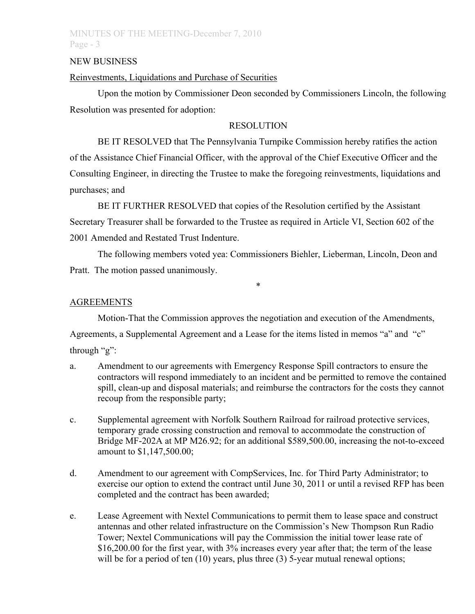# MINUTES OF THE MEETING-December 7, 2010 Page - 3

#### NEW BUSINESS

## Reinvestments, Liquidations and Purchase of Securities

Upon the motion by Commissioner Deon seconded by Commissioners Lincoln, the following Resolution was presented for adoption:

## **RESOLUTION**

BE IT RESOLVED that The Pennsylvania Turnpike Commission hereby ratifies the action of the Assistance Chief Financial Officer, with the approval of the Chief Executive Officer and the Consulting Engineer, in directing the Trustee to make the foregoing reinvestments, liquidations and purchases; and

BE IT FURTHER RESOLVED that copies of the Resolution certified by the Assistant Secretary Treasurer shall be forwarded to the Trustee as required in Article VI, Section 602 of the 2001 Amended and Restated Trust Indenture.

The following members voted yea: Commissioners Biehler, Lieberman, Lincoln, Deon and Pratt. The motion passed unanimously.

\*

## **AGREEMENTS**

Motion-That the Commission approves the negotiation and execution of the Amendments,

Agreements, a Supplemental Agreement and a Lease for the items listed in memos "a" and "c" through "g":

- a. Amendment to our agreements with Emergency Response Spill contractors to ensure the contractors will respond immediately to an incident and be permitted to remove the contained spill, clean-up and disposal materials; and reimburse the contractors for the costs they cannot recoup from the responsible party;
	- c. Supplemental agreement with Norfolk Southern Railroad for railroad protective services, temporary grade crossing construction and removal to accommodate the construction of Bridge MF-202A at MP M26.92; for an additional \$589,500.00, increasing the not-to-exceed amount to \$1,147,500.00;
	- d. Amendment to our agreement with CompServices, Inc. for Third Party Administrator; to exercise our option to extend the contract until June 30, 2011 or until a revised RFP has been completed and the contract has been awarded;
	- e. Lease Agreement with Nextel Communications to permit them to lease space and construct antennas and other related infrastructure on the Commission's New Thompson Run Radio Tower; Nextel Communications will pay the Commission the initial tower lease rate of \$16,200.00 for the first year, with 3% increases every year after that; the term of the lease will be for a period of ten (10) years, plus three (3) 5-year mutual renewal options;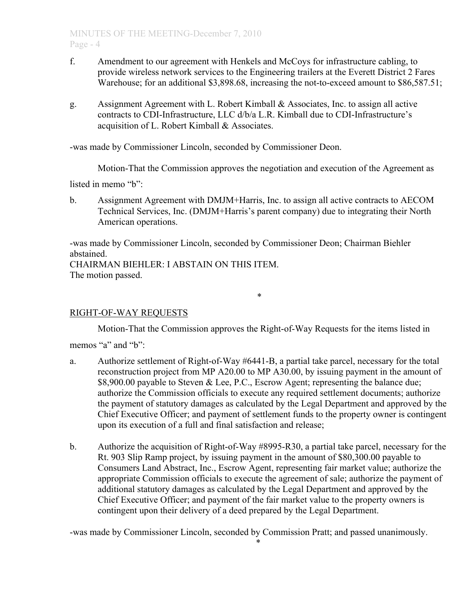- f. Amendment to our agreement with Henkels and McCoys for infrastructure cabling, to provide wireless network services to the Engineering trailers at the Everett District 2 Fares Warehouse; for an additional \$3,898.68, increasing the not-to-exceed amount to \$86,587.51;
- g. Assignment Agreement with L. Robert Kimball & Associates, Inc. to assign all active contracts to CDI-Infrastructure, LLC d/b/a L.R. Kimball due to CDI-Infrastructure's acquisition of L. Robert Kimball & Associates.

-was made by Commissioner Lincoln, seconded by Commissioner Deon.

Motion-That the Commission approves the negotiation and execution of the Agreement as

listed in memo "b":

b. Assignment Agreement with DMJM+Harris, Inc. to assign all active contracts to AECOM Technical Services, Inc. (DMJM+Harris's parent company) due to integrating their North American operations.

-was made by Commissioner Lincoln, seconded by Commissioner Deon; Chairman Biehler abstained. CHAIRMAN BIEHLER: I ABSTAIN ON THIS ITEM.

The motion passed.

## RIGHT-OF-WAY REQUESTS

Motion-That the Commission approves the Right-of-Way Requests for the items listed in

\*

memos "a" and "b":

- a. Authorize settlement of Right-of-Way #6441-B, a partial take parcel, necessary for the total reconstruction project from MP A20.00 to MP A30.00, by issuing payment in the amount of \$8,900.00 payable to Steven & Lee, P.C., Escrow Agent; representing the balance due; authorize the Commission officials to execute any required settlement documents; authorize the payment of statutory damages as calculated by the Legal Department and approved by the Chief Executive Officer; and payment of settlement funds to the property owner is contingent upon its execution of a full and final satisfaction and release;
- b. Authorize the acquisition of Right-of-Way #8995-R30, a partial take parcel, necessary for the Rt. 903 Slip Ramp project, by issuing payment in the amount of \$80,300.00 payable to Consumers Land Abstract, Inc., Escrow Agent, representing fair market value; authorize the appropriate Commission officials to execute the agreement of sale; authorize the payment of additional statutory damages as calculated by the Legal Department and approved by the Chief Executive Officer; and payment of the fair market value to the property owners is contingent upon their delivery of a deed prepared by the Legal Department.

-was made by Commissioner Lincoln, seconded by Commission Pratt; and passed unanimously.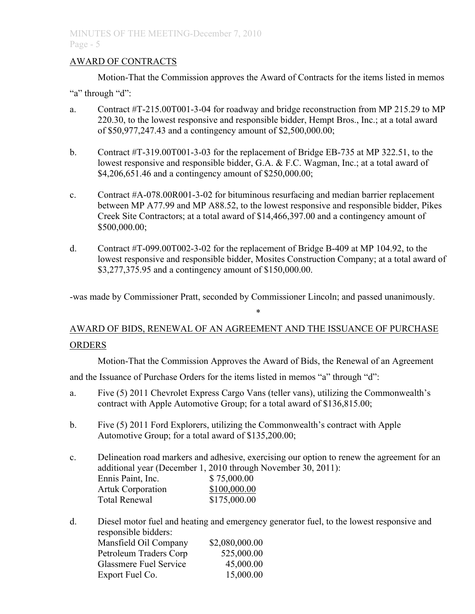# AWARD OF CONTRACTS

Motion-That the Commission approves the Award of Contracts for the items listed in memos

"a" through "d":

- a. Contract #T-215.00T001-3-04 for roadway and bridge reconstruction from MP 215.29 to MP 220.30, to the lowest responsive and responsible bidder, Hempt Bros., Inc.; at a total award of \$50,977,247.43 and a contingency amount of \$2,500,000.00;
- b. Contract #T-319.00T001-3-03 for the replacement of Bridge EB-735 at MP 322.51, to the lowest responsive and responsible bidder, G.A. & F.C. Wagman, Inc.; at a total award of \$4,206,651.46 and a contingency amount of \$250,000.00;
- c. Contract  $#A-078.00R001-3-02$  for bituminous resurfacing and median barrier replacement between MP A77.99 and MP A88.52, to the lowest responsive and responsible bidder, Pikes Creek Site Contractors; at a total award of \$14,466,397.00 and a contingency amount of \$500,000.00;
- d. Contract #T-099.00T002-3-02 for the replacement of Bridge B-409 at MP 104.92, to the lowest responsive and responsible bidder, Mosites Construction Company; at a total award of \$3,277,375.95 and a contingency amount of \$150,000.00.

-was made by Commissioner Pratt, seconded by Commissioner Lincoln; and passed unanimously.

\*

# AWARD OF BIDS, RENEWAL OF AN AGREEMENT AND THE ISSUANCE OF PURCHASE ORDERS

Motion-That the Commission Approves the Award of Bids, the Renewal of an Agreement

and the Issuance of Purchase Orders for the items listed in memos "a" through "d":

- a. Five (5) 2011 Chevrolet Express Cargo Vans (teller vans), utilizing the Commonwealth's contract with Apple Automotive Group; for a total award of \$136,815.00;
- b. Five (5) 2011 Ford Explorers, utilizing the Commonwealth's contract with Apple Automotive Group; for a total award of \$135,200.00;
- c. Delineation road markers and adhesive, exercising our option to renew the agreement for an additional year (December 1, 2010 through November 30, 2011): Ennis Paint, Inc. \$ 75,000.00

| Lamno I unit, mv.        | $V \sim 0.000$ |
|--------------------------|----------------|
| <b>Artuk Corporation</b> | \$100,000.00   |
| <b>Total Renewal</b>     | \$175,000.00   |
|                          |                |

d. Diesel motor fuel and heating and emergency generator fuel, to the lowest responsive and responsible bidders:

| Mansfield Oil Company  | \$2,080,000.00 |
|------------------------|----------------|
| Petroleum Traders Corp | 525,000.00     |
| Glassmere Fuel Service | 45,000.00      |
| Export Fuel Co.        | 15,000.00      |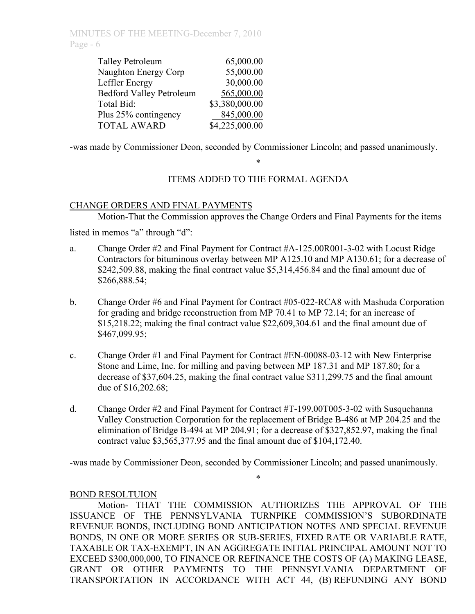| <b>Talley Petroleum</b>         | 65,000.00      |
|---------------------------------|----------------|
| Naughton Energy Corp            | 55,000.00      |
| Leffler Energy                  | 30,000.00      |
| <b>Bedford Valley Petroleum</b> | 565,000.00     |
| Total Bid:                      | \$3,380,000.00 |
| Plus 25% contingency            | 845,000.00     |
| <b>TOTAL AWARD</b>              | \$4,225,000.00 |

-was made by Commissioner Deon, seconded by Commissioner Lincoln; and passed unanimously.

# ITEMS ADDED TO THE FORMAL AGENDA

\*

## CHANGE ORDERS AND FINAL PAYMENTS

Motion-That the Commission approves the Change Orders and Final Payments for the items

listed in memos "a" through "d":

- a. Change Order #2 and Final Payment for Contract #A-125.00R001-3-02 with Locust Ridge Contractors for bituminous overlay between MP A125.10 and MP A130.61; for a decrease of \$242,509.88, making the final contract value \$5,314,456.84 and the final amount due of \$266,888.54;
- b. Change Order #6 and Final Payment for Contract #05-022-RCA8 with Mashuda Corporation for grading and bridge reconstruction from MP 70.41 to MP 72.14; for an increase of \$15,218.22; making the final contract value \$22,609,304.61 and the final amount due of \$467,099.95;
- c. Change Order #1 and Final Payment for Contract #EN-00088-03-12 with New Enterprise Stone and Lime, Inc. for milling and paving between MP 187.31 and MP 187.80; for a decrease of \$37,604.25, making the final contract value \$311,299.75 and the final amount due of \$16,202.68;
- d. Change Order #2 and Final Payment for Contract #T-199.00T005-3-02 with Susquehanna Valley Construction Corporation for the replacement of Bridge B-486 at MP 204.25 and the elimination of Bridge B-494 at MP 204.91; for a decrease of \$327,852.97, making the final contract value \$3,565,377.95 and the final amount due of \$104,172.40.

-was made by Commissioner Deon, seconded by Commissioner Lincoln; and passed unanimously.

\*

## BOND RESOLTUION

Motion- THAT THE COMMISSION AUTHORIZES THE APPROVAL OF THE ISSUANCE OF THE PENNSYLVANIA TURNPIKE COMMISSION'S SUBORDINATE REVENUE BONDS, INCLUDING BOND ANTICIPATION NOTES AND SPECIAL REVENUE BONDS, IN ONE OR MORE SERIES OR SUB-SERIES, FIXED RATE OR VARIABLE RATE, TAXABLE OR TAX-EXEMPT, IN AN AGGREGATE INITIAL PRINCIPAL AMOUNT NOT TO EXCEED \$300,000,000, TO FINANCE OR REFINANCE THE COSTS OF (A) MAKING LEASE, GRANT OR OTHER PAYMENTS TO THE PENNSYLVANIA DEPARTMENT OF TRANSPORTATION IN ACCORDANCE WITH ACT 44, (B) REFUNDING ANY BOND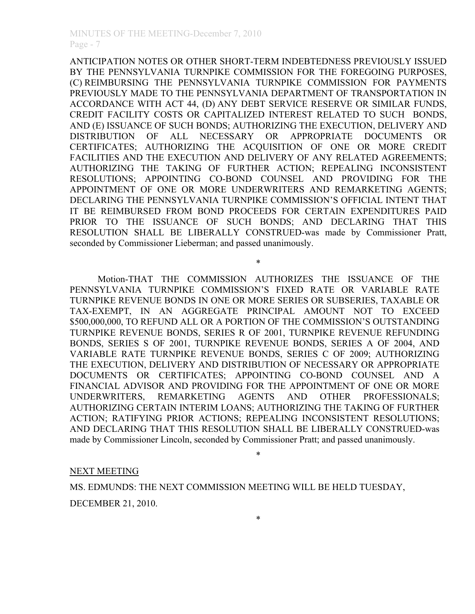ANTICIPATION NOTES OR OTHER SHORT-TERM INDEBTEDNESS PREVIOUSLY ISSUED BY THE PENNSYLVANIA TURNPIKE COMMISSION FOR THE FOREGOING PURPOSES, (C) REIMBURSING THE PENNSYLVANIA TURNPIKE COMMISSION FOR PAYMENTS PREVIOUSLY MADE TO THE PENNSYLVANIA DEPARTMENT OF TRANSPORTATION IN ACCORDANCE WITH ACT 44, (D) ANY DEBT SERVICE RESERVE OR SIMILAR FUNDS, CREDIT FACILITY COSTS OR CAPITALIZED INTEREST RELATED TO SUCH BONDS, AND (E) ISSUANCE OF SUCH BONDS; AUTHORIZING THE EXECUTION, DELIVERY AND DISTRIBUTION OF ALL NECESSARY OR APPROPRIATE DOCUMENTS OR CERTIFICATES; AUTHORIZING THE ACQUISITION OF ONE OR MORE CREDIT FACILITIES AND THE EXECUTION AND DELIVERY OF ANY RELATED AGREEMENTS; AUTHORIZING THE TAKING OF FURTHER ACTION; REPEALING INCONSISTENT RESOLUTIONS; APPOINTING CO-BOND COUNSEL AND PROVIDING FOR THE APPOINTMENT OF ONE OR MORE UNDERWRITERS AND REMARKETING AGENTS; DECLARING THE PENNSYLVANIA TURNPIKE COMMISSION'S OFFICIAL INTENT THAT IT BE REIMBURSED FROM BOND PROCEEDS FOR CERTAIN EXPENDITURES PAID PRIOR TO THE ISSUANCE OF SUCH BONDS; AND DECLARING THAT THIS RESOLUTION SHALL BE LIBERALLY CONSTRUED-was made by Commissioner Pratt, seconded by Commissioner Lieberman; and passed unanimously.

Motion-THAT THE COMMISSION AUTHORIZES THE ISSUANCE OF THE PENNSYLVANIA TURNPIKE COMMISSION'S FIXED RATE OR VARIABLE RATE TURNPIKE REVENUE BONDS IN ONE OR MORE SERIES OR SUBSERIES, TAXABLE OR TAX-EXEMPT, IN AN AGGREGATE PRINCIPAL AMOUNT NOT TO EXCEED \$500,000,000, TO REFUND ALL OR A PORTION OF THE COMMISSION'S OUTSTANDING TURNPIKE REVENUE BONDS, SERIES R OF 2001, TURNPIKE REVENUE REFUNDING BONDS, SERIES S OF 2001, TURNPIKE REVENUE BONDS, SERIES A OF 2004, AND VARIABLE RATE TURNPIKE REVENUE BONDS, SERIES C OF 2009; AUTHORIZING THE EXECUTION, DELIVERY AND DISTRIBUTION OF NECESSARY OR APPROPRIATE DOCUMENTS OR CERTIFICATES; APPOINTING CO-BOND COUNSEL AND A FINANCIAL ADVISOR AND PROVIDING FOR THE APPOINTMENT OF ONE OR MORE UNDERWRITERS, REMARKETING AGENTS AND OTHER PROFESSIONALS; AUTHORIZING CERTAIN INTERIM LOANS; AUTHORIZING THE TAKING OF FURTHER ACTION; RATIFYING PRIOR ACTIONS; REPEALING INCONSISTENT RESOLUTIONS; AND DECLARING THAT THIS RESOLUTION SHALL BE LIBERALLY CONSTRUED-was made by Commissioner Lincoln, seconded by Commissioner Pratt; and passed unanimously.

\*

#### NEXT MEETING

MS. EDMUNDS: THE NEXT COMMISSION MEETING WILL BE HELD TUESDAY,

DECEMBER 21, 2010.

\*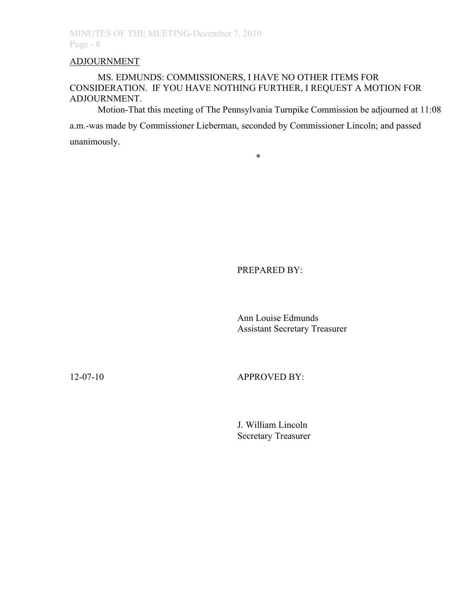# ADJOURNMENT

## MS. EDMUNDS: COMMISSIONERS, I HAVE NO OTHER ITEMS FOR CONSIDERATION. IF YOU HAVE NOTHING FURTHER, I REQUEST A MOTION FOR ADJOURNMENT.

Motion-That this meeting of The Pennsylvania Turnpike Commission be adjourned at 11:08 a.m.-was made by Commissioner Lieberman, seconded by Commissioner Lincoln; and passed unanimously.

\*

PREPARED BY:

Ann Louise Edmunds Assistant Secretary Treasurer

12-07-10 APPROVED BY:

J. William Lincoln Secretary Treasurer